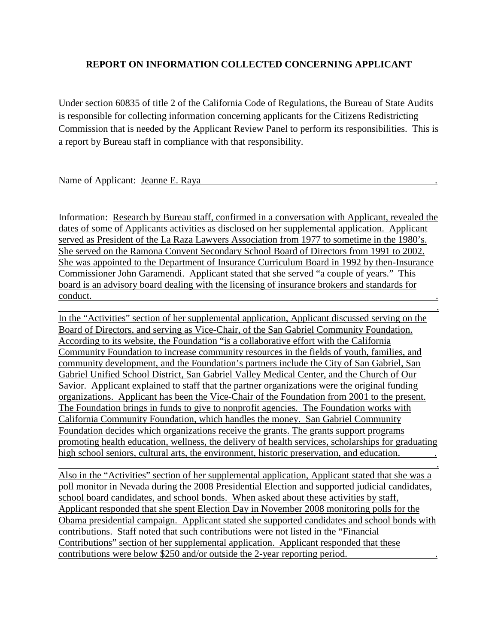## **REPORT ON INFORMATION COLLECTED CONCERNING APPLICANT**

Under section 60835 of title 2 of the California Code of Regulations, the Bureau of State Audits is responsible for collecting information concerning applicants for the Citizens Redistricting Commission that is needed by the Applicant Review Panel to perform its responsibilities. This is a report by Bureau staff in compliance with that responsibility.

## Name of Applicant: Jeanne E. Raya

Information: Research by Bureau staff, confirmed in a conversation with Applicant, revealed the dates of some of Applicants activities as disclosed on her supplemental application. Applicant served as President of the La Raza Lawyers Association from 1977 to sometime in the 1980's. She served on the Ramona Convent Secondary School Board of Directors from 1991 to 2002. She was appointed to the Department of Insurance Curriculum Board in 1992 by then-Insurance Commissioner John Garamendi. Applicant stated that she served "a couple of years." This board is an advisory board dealing with the licensing of insurance brokers and standards for conduct. .

 . In the "Activities" section of her supplemental application, Applicant discussed serving on the Board of Directors, and serving as Vice-Chair, of the San Gabriel Community Foundation. According to its website, the Foundation "is a collaborative effort with the California Community Foundation to increase community resources in the fields of youth, families, and community development, and the Foundation's partners include the City of San Gabriel, San Gabriel Unified School District, San Gabriel Valley Medical Center, and the Church of Our Savior. Applicant explained to staff that the partner organizations were the original funding organizations. Applicant has been the Vice-Chair of the Foundation from 2001 to the present. The Foundation brings in funds to give to nonprofit agencies. The Foundation works with California Community Foundation, which handles the money. San Gabriel Community Foundation decides which organizations receive the grants. The grants support programs promoting health education, wellness, the delivery of health services, scholarships for graduating high school seniors, cultural arts, the environment, historic preservation, and education.

Also in the "Activities" section of her supplemental application, Applicant stated that she was a poll monitor in Nevada during the 2008 Presidential Election and supported judicial candidates, school board candidates, and school bonds. When asked about these activities by staff, Applicant responded that she spent Election Day in November 2008 monitoring polls for the Obama presidential campaign. Applicant stated she supported candidates and school bonds with contributions. Staff noted that such contributions were not listed in the "Financial Contributions" section of her supplemental application. Applicant responded that these contributions were below \$250 and/or outside the 2-year reporting period. .

<u>. Andre Sterne and Sterne and Sterne and Sterne and Sterne and Sterne and Sterne and Sterne and Sterne and St</u>